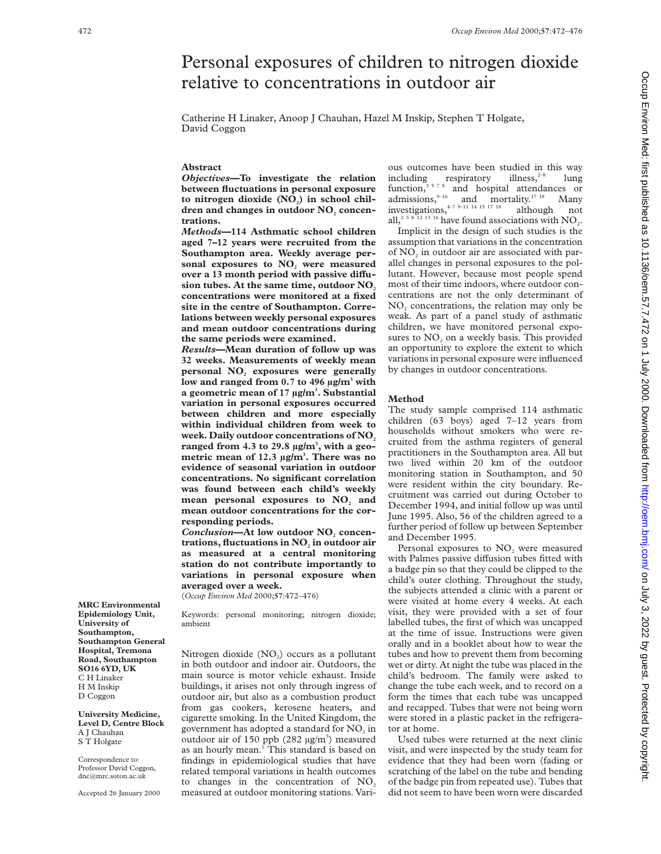# Personal exposures of children to nitrogen dioxide relative to concentrations in outdoor air

Catherine H Linaker, Anoop J Chauhan, Hazel M Inskip, Stephen T Holgate, David Coggon

## **Abstract**

*Objectives***—To investigate the relation between fluctuations in personal exposure** to nitrogen dioxide (NO<sub>2</sub>) in school children and changes in outdoor NO<sub>2</sub> concen**trations.**

*Methods***—114 Asthmatic school children aged 7–12 years were recruited from the Southampton area. Weekly average per**sonal exposures to NO<sub>2</sub> were measured over a 13 month period with passive diffusion tubes. At the same time, outdoor NO<sub>2</sub> **concentrations were monitored at a fixed site in the centre of Southampton. Correlations between weekly personal exposures and mean outdoor concentrations during the same periods were examined.**

*Results***—Mean duration of follow up was 32 weeks. Measurements of weekly mean** personal NO<sub>2</sub> exposures were generally **low and ranged from 0.7 to 496 µg/m3 with a geometric mean of 17 µg/m3 . Substantial variation in personal exposures occurred between children and more especially within individual children from week to** week. Daily outdoor concentrations of NO<sub>2</sub> **ranged from 4.3 to 29.8 µg/m3 , with a geometric mean of 12.3 µg/m3 . There was no evidence of seasonal variation in outdoor concentrations. No significant correlation was found between each child's weekly** mean personal exposures to NO<sub>2</sub> and **mean outdoor concentrations for the corresponding periods.**

**Conclusion-At low outdoor NO**, concen**trations, fluctuations in NO**, in outdoor air **as measured at a central monitoring station do not contribute importantly to variations in personal exposure when averaged over a week.**

(*Occup Environ Med* 2000;**57**:472–476)

Keywords: personal monitoring; nitrogen dioxide; ambient

Nitrogen dioxide  $(NO<sub>2</sub>)$  occurs as a pollutant in both outdoor and indoor air. Outdoors, the main source is motor vehicle exhaust. Inside buildings, it arises not only through ingress of outdoor air, but also as a combustion product from gas cookers, kerosene heaters, and cigarette smoking. In the United Kingdom, the government has adopted a standard for NO<sub>2</sub> in outdoor air of 150 ppb  $(282 \text{ µg/m}^3)$  measured as an hourly mean.<sup>1</sup> This standard is based on findings in epidemiological studies that have related temporal variations in health outcomes to changes in the concentration of  $NO<sub>2</sub>$ measured at outdoor monitoring stations. Vari-

ous outcomes have been studied in this way<br>including respiratory illness, <sup>2-8</sup> lung including respiratory illness,<sup>2–8</sup> lung function,<sup>3578</sup> and hospital attendances or admissions,  $9-16$  and mortality.<sup>17 18</sup> Many investigations,  $4-7$  9–11 14 15 17 18 although not all,<sup>2 3 8</sup> 12 <sup>13</sup> <sup>16</sup> have found associations with  $NO<sub>2</sub>$ .

Implicit in the design of such studies is the assumption that variations in the concentration of NO<sub>2</sub> in outdoor air are associated with parallel changes in personal exposures to the pollutant. However, because most people spend most of their time indoors, where outdoor concentrations are not the only determinant of NO<sub>2</sub> concentrations, the relation may only be weak. As part of a panel study of asthmatic children, we have monitored personal exposures to  $NO<sub>2</sub>$  on a weekly basis. This provided an opportunity to explore the extent to which variations in personal exposure were influenced by changes in outdoor concentrations.

#### **Method**

The study sample comprised 114 asthmatic children (63 boys) aged 7–12 years from households without smokers who were recruited from the asthma registers of general practitioners in the Southampton area. All but two lived within 20 km of the outdoor monitoring station in Southampton, and 50 were resident within the city boundary. Recruitment was carried out during October to December 1994, and initial follow up was until June 1995. Also, 56 of the children agreed to a further period of follow up between September and December 1995.

Personal exposures to NO<sub>2</sub> were measured with Palmes passive diffusion tubes fitted with a badge pin so that they could be clipped to the child's outer clothing. Throughout the study, the subjects attended a clinic with a parent or were visited at home every 4 weeks. At each visit, they were provided with a set of four labelled tubes, the first of which was uncapped at the time of issue. Instructions were given orally and in a booklet about how to wear the tubes and how to prevent them from becoming wet or dirty. At night the tube was placed in the child's bedroom. The family were asked to change the tube each week, and to record on a form the times that each tube was uncapped and recapped. Tubes that were not being worn were stored in a plastic packet in the refrigerator at home.

Used tubes were returned at the next clinic visit, and were inspected by the study team for evidence that they had been worn (fading or scratching of the label on the tube and bending of the badge pin from repeated use). Tubes that did not seem to have been worn were discarded

**MRC Environmental Epidemiology Unit, University of Southampton, Southampton General Hospital, Tremona Road, Southampton SO16 6YD, UK** C H Linaker H M Inskip D Coggon

**University Medicine, Level D, Centre Block** A J Chauhan S T Holgate

Correspondence to: Professor David Coggon, dnc@mrc.soton.ac.uk

Accepted 26 January 2000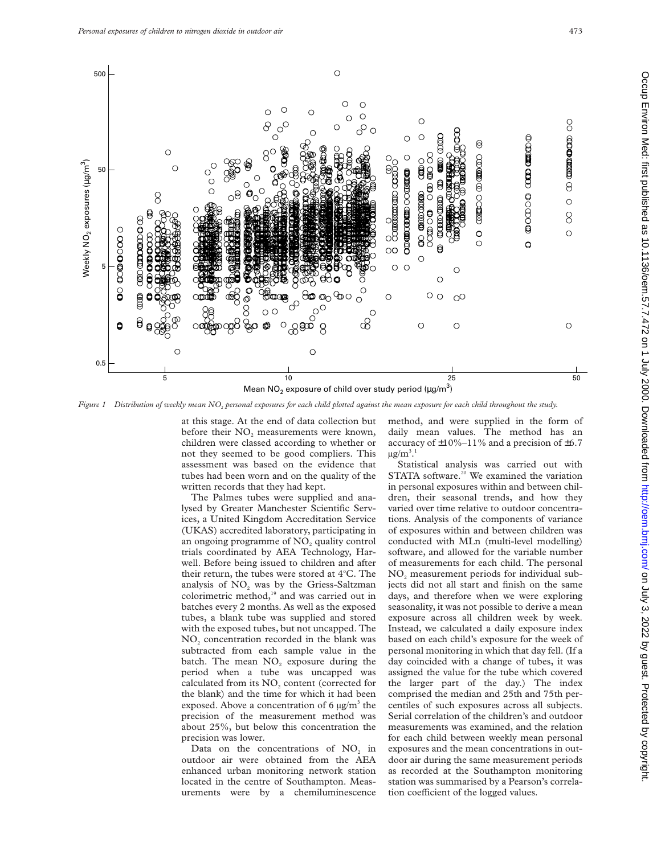

*Figure 1 Distribution of weekly mean NO2 personal exposures for each child plotted against the mean exposure for each child throughout the study.*

at this stage. At the end of data collection but before their  $NO<sub>2</sub>$  measurements were known, children were classed according to whether or not they seemed to be good compliers. This assessment was based on the evidence that tubes had been worn and on the quality of the written records that they had kept.

The Palmes tubes were supplied and analysed by Greater Manchester Scientific Services, a United Kingdom Accreditation Service (UKAS) accredited laboratory, participating in an ongoing programme of  $NO<sub>2</sub>$  quality control trials coordinated by AEA Technology, Harwell. Before being issued to children and after their return, the tubes were stored at 4°C. The analysis of  $NO<sub>2</sub>$  was by the Griess-Saltzman colorimetric method,<sup>19</sup> and was carried out in batches every 2 months. As well as the exposed tubes, a blank tube was supplied and stored with the exposed tubes, but not uncapped. The NO<sub>2</sub> concentration recorded in the blank was subtracted from each sample value in the batch. The mean  $NO<sub>2</sub>$  exposure during the period when a tube was uncapped was calculated from its NO<sub>2</sub> content (corrected for the blank) and the time for which it had been exposed. Above a concentration of 6  $\mu$ g/m<sup>3</sup> the precision of the measurement method was about 25%, but below this concentration the precision was lower.

Data on the concentrations of NO<sub>2</sub> in outdoor air were obtained from the AEA enhanced urban monitoring network station located in the centre of Southampton. Measurements were by a chemiluminescence method, and were supplied in the form of daily mean values. The method has an accuracy of  $\pm 10\% - 11\%$  and a precision of  $\pm 6.7$  $\mu$ g/m $^3.1$ 

Statistical analysis was carried out with STATA software.<sup>20</sup> We examined the variation in personal exposures within and between children, their seasonal trends, and how they varied over time relative to outdoor concentrations. Analysis of the components of variance of exposures within and between children was conducted with MLn (multi-level modelling) software, and allowed for the variable number of measurements for each child. The personal  $NO<sub>2</sub>$  measurement periods for individual subjects did not all start and finish on the same days, and therefore when we were exploring seasonality, it was not possible to derive a mean exposure across all children week by week. Instead, we calculated a daily exposure index based on each child's exposure for the week of personal monitoring in which that day fell. (If a day coincided with a change of tubes, it was assigned the value for the tube which covered the larger part of the day.) The index comprised the median and 25th and 75th percentiles of such exposures across all subjects. Serial correlation of the children's and outdoor measurements was examined, and the relation for each child between weekly mean personal exposures and the mean concentrations in outdoor air during the same measurement periods as recorded at the Southampton monitoring station was summarised by a Pearson's correlation coefficient of the logged values.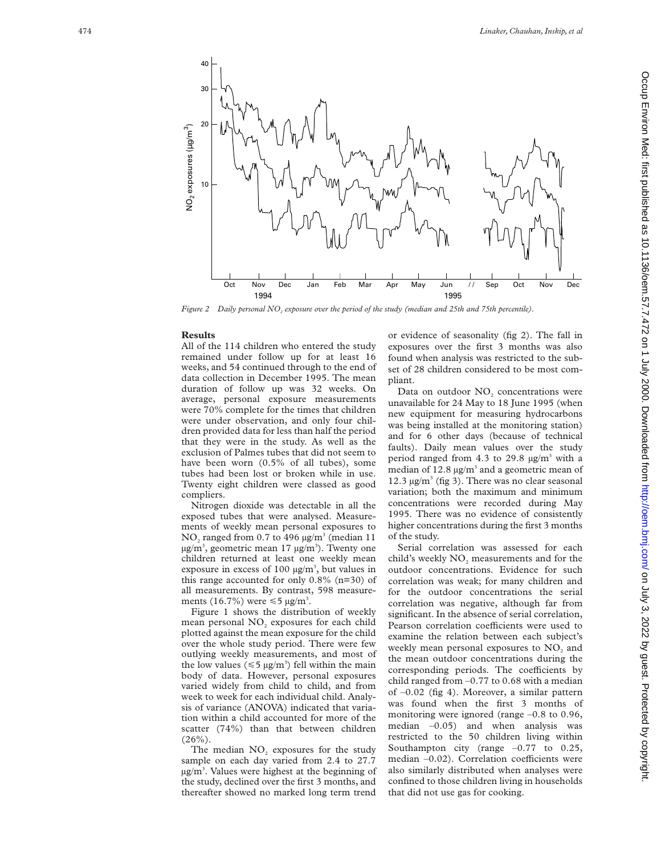

*Figure 2 Daily personal NO <sup>2</sup> exposure over the period of the study (median and 25th and 75th percentile).*

### **Results**

All of the 114 children who entered the study remained under follow up for at least 16 weeks, and 54 continued through to the end of data collection in December 1995. The mean duration of follow up was 32 weeks. On average, personal exposure measurements were 70% complete for the times that children were under observation, and only four children provided data for less than half the period that they were in the study. As well as the exclusion of Palmes tubes that did not seem to have been worn (0.5% of all tubes), some tubes had been lost or broken while in use. Twenty eight children were classed as good compliers.

Nitrogen dioxide was detectable in all the exposed tubes that were analysed. Measurements of weekly mean personal exposures to  $NO<sub>2</sub>$  ranged from 0.7 to 496  $\mu$ g/m<sup>3</sup> (median 11 µg/m<sup>3</sup>, geometric mean 17 µg/m<sup>3</sup>). Twenty one children returned at least one weekly mean exposure in excess of 100  $\mu$ g/m<sup>3</sup>, but values in this range accounted for only  $0.8\%$  (n=30) of all measurements. By contrast, 598 measurements (16.7%) were  $\leq 5 \text{ µg/m}^3$ .

Figure 1 shows the distribution of weekly mean personal NO <sup>2</sup> exposures for each child plotted against the mean exposure for the child over the whole study period. There were few outlying weekly measurements, and most of the low values ( $\leq 5 \mu g/m^3$ ) fell within the main body of data. However, personal exposures varied widely from child to child, and from week to week for each individual child. Analysis of variance (ANOVA) indicated that variation within a child accounted for more of the scatter (74%) than that between children  $(26\%)$ .

The median NO <sup>2</sup> exposures for the study sample on each day varied from 2.4 to 27.7 µg/m 3 . Values were highest at the beginning of the study, declined over the first 3 months, and thereafter showed no marked long term trend or evidence of seasonality (fig 2). The fall in exposures over the first 3 months was also found when analysis was restricted to the subset of 28 children considered to be most compliant.

Data on outdoor NO <sup>2</sup> concentrations were unavailable for 24 May to 18 June 1995 (when new equipment for measuring hydrocarbons was being installed at the monitoring station) and for 6 other days (because of technical faults). Daily mean values over the study period ranged from 4.3 to 29.8  $\mu$ g/m<sup>3</sup> with a median of  $12.8 \,\mathrm{\upmu g/m^3}$  and a geometric mean of 12.3 µg/m <sup>3</sup> (fig 3). There was no clear seasonal variation; both the maximum and minimum concentrations were recorded during May 1995. There was no evidence of consistently higher concentrations during the first 3 months of the study.

Serial correlation was assessed for each child's weekly  $NO<sub>2</sub>$  measurements and for the outdoor concentrations. Evidence for such correlation was weak; for many children and for the outdoor concentrations the serial correlation was negative, although far from significant. In the absence of serial correlation, Pearson correlation coefficients were used to examine the relation between each subject's weekly mean personal exposures to  $NO<sub>2</sub>$  and the mean outdoor concentrations during the corresponding periods. The coefficients by child ranged from –0.77 to 0.68 with a median of –0.02 (fig 4). Moreover, a similar pattern was found when the first 3 months of monitoring were ignored (range –0.8 to 0.96, median  $-0.05$ ) and when analysis was restricted to the 50 children living within Southampton city (range  $-0.77$  to 0.25, median -0.02). Correlation coefficients were also similarly distributed when analyses were confined to those children living in households that did not use gas for cooking.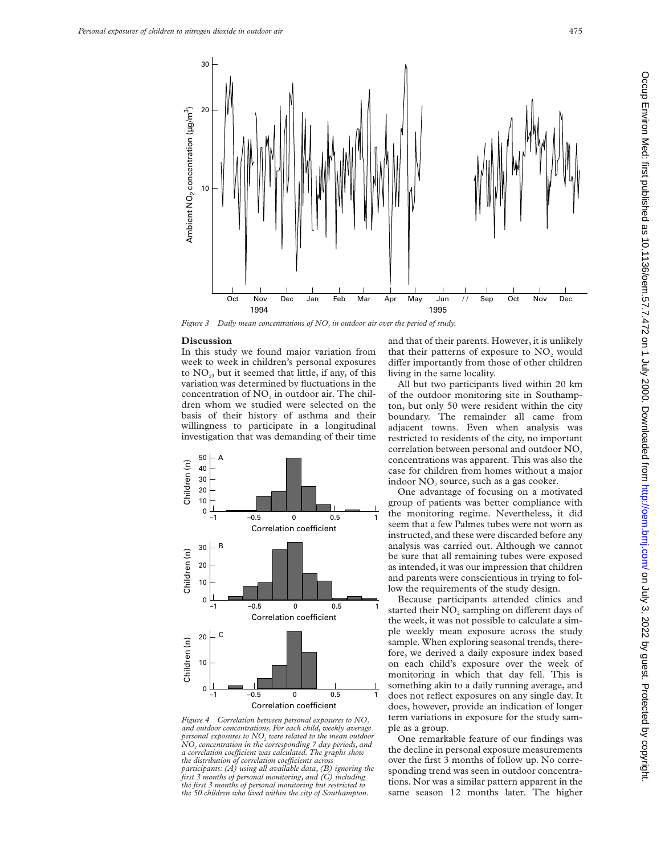

*Figure 3* Daily mean concentrations of NO<sub>2</sub> in outdoor air over the period of study.

#### **Discussion**

In this study we found major variation from week to week in children's personal exposures to  $NO<sub>2</sub>$ , but it seemed that little, if any, of this variation was determined by fluctuations in the concentration of  $NO<sub>2</sub>$  in outdoor air. The children whom we studied were selected on the basis of their history of asthma and their willingness to participate in a longitudinal investigation that was demanding of their time



*Figure 4 Correlation between personal exposures to NO<sub>2</sub> and outdoor concentrations. For each child, weekly average personal exposures to NO<sub>2</sub> were related to the mean outdoor NO2 concentration in the corresponding 7 day periods, and a correlation coeYcient was calculated. The graphs show the distribution of correlation coefficients across participants: (A) using all available data, (B) ignoring the first 3 months of personal monitoring, and (C) including the first 3 months of personal monitoring but restricted to the 50 children who lived within the city of Southampton.*

and that of their parents. However, it is unlikely that their patterns of exposure to NO<sub>2</sub> would differ importantly from those of other children living in the same locality.

All but two participants lived within 20 km of the outdoor monitoring site in Southampton, but only 50 were resident within the city boundary. The remainder all came from adjacent towns. Even when analysis was restricted to residents of the city, no important correlation between personal and outdoor NO<sub>2</sub> concentrations was apparent. This was also the case for children from homes without a major indoor NO<sub>2</sub> source, such as a gas cooker.

One advantage of focusing on a motivated group of patients was better compliance with the monitoring regime. Nevertheless, it did seem that a few Palmes tubes were not worn as instructed, and these were discarded before any analysis was carried out. Although we cannot be sure that all remaining tubes were exposed as intended, it was our impression that children and parents were conscientious in trying to follow the requirements of the study design.

Because participants attended clinics and started their NO<sub>2</sub> sampling on different days of the week, it was not possible to calculate a simple weekly mean exposure across the study sample. When exploring seasonal trends, therefore, we derived a daily exposure index based on each child's exposure over the week of monitoring in which that day fell. This is something akin to a daily running average, and does not reflect exposures on any single day. It does, however, provide an indication of longer term variations in exposure for the study sample as a group.

One remarkable feature of our findings was the decline in personal exposure measurements over the first 3 months of follow up. No corresponding trend was seen in outdoor concentrations. Nor was a similar pattern apparent in the same season 12 months later. The higher